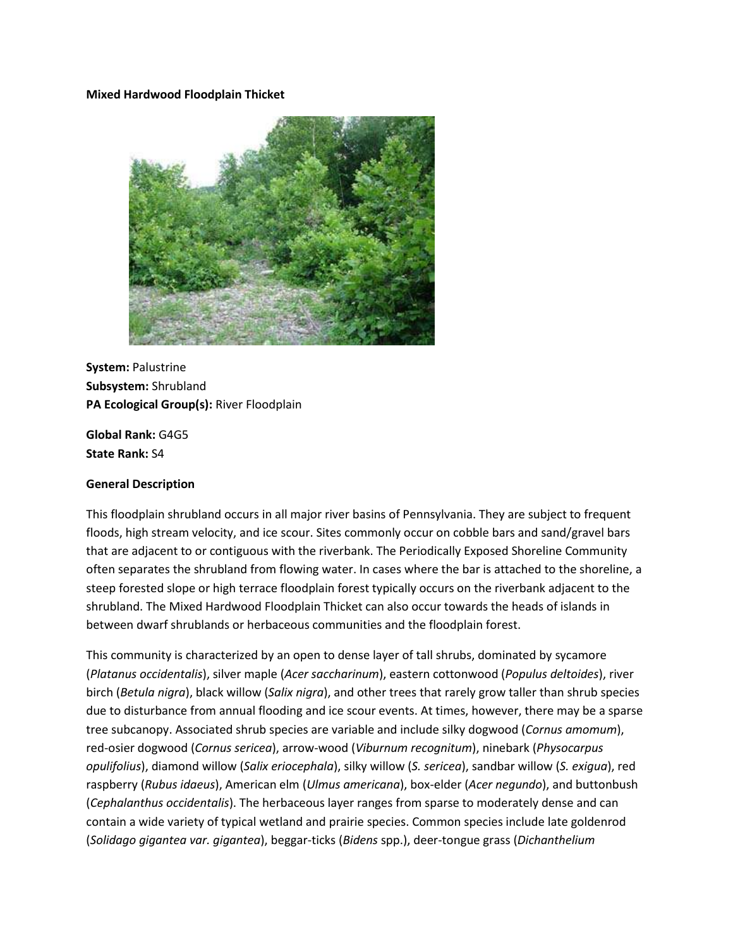#### **Mixed Hardwood Floodplain Thicket**



**System:** Palustrine **Subsystem:** Shrubland **PA Ecological Group(s):** River Floodplain

**Global Rank:** G4G5 **State Rank:** S4

#### **General Description**

This floodplain shrubland occurs in all major river basins of Pennsylvania. They are subject to frequent floods, high stream velocity, and ice scour. Sites commonly occur on cobble bars and sand/gravel bars that are adjacent to or contiguous with the riverbank. The Periodically Exposed Shoreline Community often separates the shrubland from flowing water. In cases where the bar is attached to the shoreline, a steep forested slope or high terrace floodplain forest typically occurs on the riverbank adjacent to the shrubland. The Mixed Hardwood Floodplain Thicket can also occur towards the heads of islands in between dwarf shrublands or herbaceous communities and the floodplain forest.

This community is characterized by an open to dense layer of tall shrubs, dominated by sycamore (*Platanus occidentalis*), silver maple (*Acer saccharinum*), eastern cottonwood (*Populus deltoides*), river birch (*Betula nigra*), black willow (*Salix nigra*), and other trees that rarely grow taller than shrub species due to disturbance from annual flooding and ice scour events. At times, however, there may be a sparse tree subcanopy. Associated shrub species are variable and include silky dogwood (*Cornus amomum*), red-osier dogwood (*Cornus sericea*), arrow-wood (*Viburnum recognitum*), ninebark (*Physocarpus opulifolius*), diamond willow (*Salix eriocephala*), silky willow (*S. sericea*), sandbar willow (*S. exigua*), red raspberry (*Rubus idaeus*), American elm (*Ulmus americana*), box-elder (*Acer negundo*), and buttonbush (*Cephalanthus occidentalis*). The herbaceous layer ranges from sparse to moderately dense and can contain a wide variety of typical wetland and prairie species. Common species include late goldenrod (*Solidago gigantea var. gigantea*), beggar-ticks (*Bidens* spp.), deer-tongue grass (*Dichanthelium*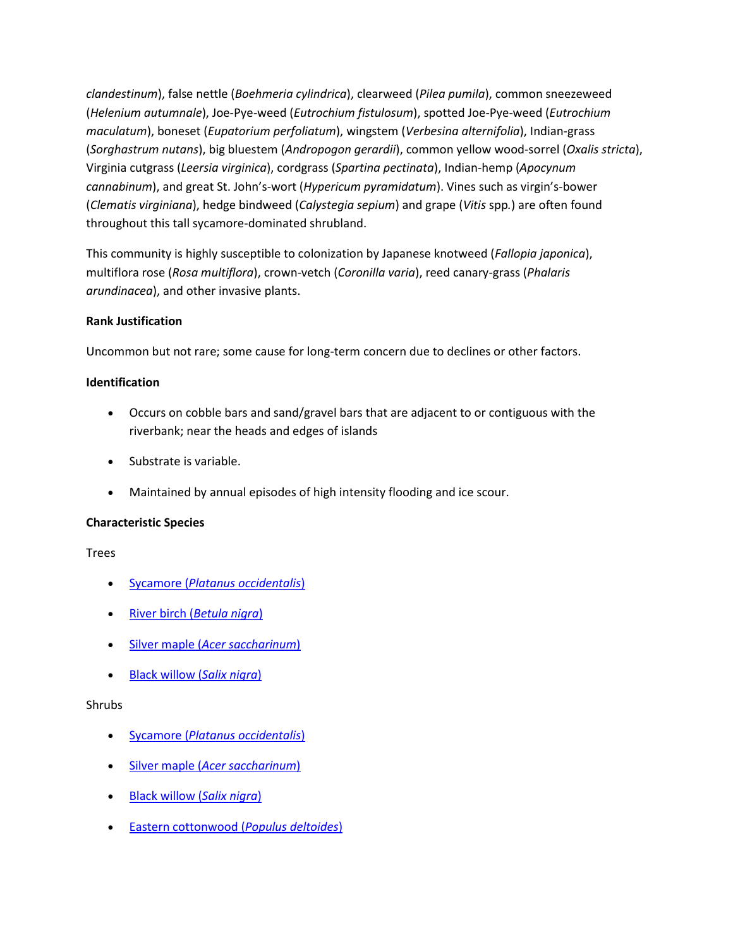*clandestinum*), false nettle (*Boehmeria cylindrica*), clearweed (*Pilea pumila*), common sneezeweed (*Helenium autumnale*), Joe-Pye-weed (*Eutrochium fistulosum*), spotted Joe-Pye-weed (*Eutrochium maculatum*), boneset (*Eupatorium perfoliatum*), wingstem (*Verbesina alternifolia*), Indian-grass (*Sorghastrum nutans*), big bluestem (*Andropogon gerardii*), common yellow wood-sorrel (*Oxalis stricta*), Virginia cutgrass (*Leersia virginica*), cordgrass (*Spartina pectinata*), Indian-hemp (*Apocynum cannabinum*), and great St. John's-wort (*Hypericum pyramidatum*). Vines such as virgin's-bower (*Clematis virginiana*), hedge bindweed (*Calystegia sepium*) and grape (*Vitis* spp*.*) are often found throughout this tall sycamore-dominated shrubland.

This community is highly susceptible to colonization by Japanese knotweed (*Fallopia japonica*), multiflora rose (*Rosa multiflora*), crown-vetch (*Coronilla varia*), reed canary-grass (*Phalaris arundinacea*), and other invasive plants.

## **Rank Justification**

Uncommon but not rare; some cause for long-term concern due to declines or other factors.

# **Identification**

- Occurs on cobble bars and sand/gravel bars that are adjacent to or contiguous with the riverbank; near the heads and edges of islands
- Substrate is variable.
- Maintained by annual episodes of high intensity flooding and ice scour.

## **Characteristic Species**

Trees

- Sycamore (*[Platanus occidentalis](http://www.natureserve.org/explorer/servlet/NatureServe?searchName=Platanus+occidentalis)*)
- River birch (*[Betula nigra](http://www.natureserve.org/explorer/servlet/NatureServe?searchName=Betula+nigra)*)
- Silver maple (*[Acer saccharinum](http://www.natureserve.org/explorer/servlet/NatureServe?searchName=Acer+saccharinum)*)
- [Black willow \(](http://www.natureserve.org/explorer/servlet/NatureServe?searchName=Salix+nigra)*Salix nigra*)

## Shrubs

- Sycamore (*[Platanus occidentalis](http://www.natureserve.org/explorer/servlet/NatureServe?searchName=Platanus+occidentalis)*)
- Silver maple (*[Acer saccharinum](http://www.natureserve.org/explorer/servlet/NatureServe?searchName=Acer+saccharinum)*)
- [Black willow \(](http://www.natureserve.org/explorer/servlet/NatureServe?searchName=Salix+nigra)*Salix nigra*)
- [Eastern cottonwood \(](http://www.natureserve.org/explorer/servlet/NatureServe?searchName=Populus+deltoides)*Populus deltoides*)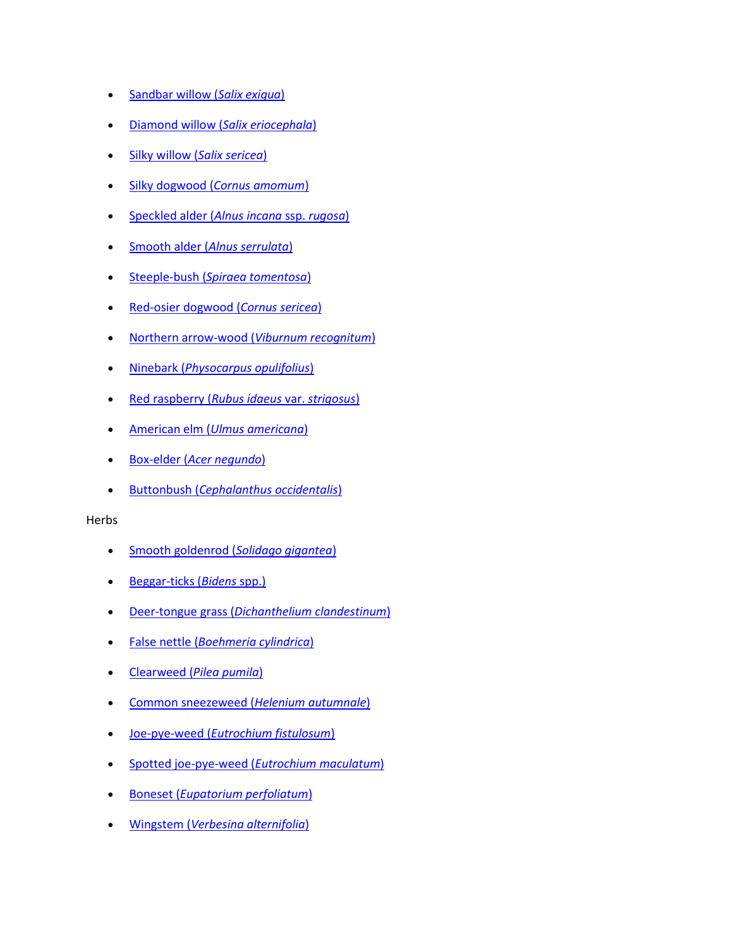- [Sandbar willow \(](http://www.natureserve.org/explorer/servlet/NatureServe?searchName=Salix+exigua)*Salix exigua*)
- [Diamond willow \(](http://www.natureserve.org/explorer/servlet/NatureServe?searchName=Salix+eriocephala)*Salix eriocephala*)
- [Silky willow \(](http://www.natureserve.org/explorer/servlet/NatureServe?searchName=Salix+sericea)*Salix sericea*)
- Silky dogwood (*[Cornus amomum](http://www.natureserve.org/explorer/servlet/NatureServe?searchName=Cornus+amomum+ssp.+amomum)*)
- [Speckled alder \(](http://www.natureserve.org/explorer/servlet/NatureServe?searchName=Alnus+incana+ssp.+rugosa)*Alnus incana* ssp. *rugosa*)
- Smooth alder (*[Alnus serrulata](http://www.natureserve.org/explorer/servlet/NatureServe?searchName=Alnus+serrulata)*)
- Steeple-bush (*[Spiraea tomentosa](http://www.natureserve.org/explorer/servlet/NatureServe?searchName=Spiraea+tomentosa)*)
- [Red-osier dogwood \(](http://www.natureserve.org/explorer/servlet/NatureServe?searchName=Cornus+sericea)*Cornus sericea*)
- [Northern arrow-wood \(](http://www.natureserve.org/explorer/servlet/NatureServe?searchName=Viburnum+recognitum)*Viburnum recognitum*)
- Ninebark (*[Physocarpus opulifolius](http://www.natureserve.org/explorer/servlet/NatureServe?searchName=Physocarpus+opulifolius)*)
- [Red raspberry \(](http://www.natureserve.org/explorer/servlet/NatureServe?searchName=Rubus+idaeus+var.+strigosus)*Rubus idaeus* var. *strigosus*)
- American elm (*[Ulmus americana](http://www.natureserve.org/explorer/servlet/NatureServe?searchName=Ulmus+americana)*)
- Box-elder (*[Acer negundo](http://www.natureserve.org/explorer/servlet/NatureServe?searchName=Acer+negundo)*)
- Buttonbush (*[Cephalanthus occidentalis](http://www.natureserve.org/explorer/servlet/NatureServe?searchName=Cephalanthus+occidentalis)*)

#### Herbs

- [Smooth goldenrod \(](http://www.natureserve.org/explorer/servlet/NatureServe?searchName=Solidago+gigantea)*Solidago gigantea*)
- [Beggar-ticks \(](http://www.natureserve.org/explorer/servlet/NatureServe?searchSciOrCommonName=bidens)*Bidens* spp.)
- Deer-tongue grass (*[Dichanthelium clandestinum](http://www.natureserve.org/explorer/servlet/NatureServe?searchName=Dichanthelium+clandestinum)*)
- False nettle (*[Boehmeria cylindrica](http://www.natureserve.org/explorer/servlet/NatureServe?searchName=Boehmeria+cylindrica)*)
- Clearweed (*[Pilea pumila](http://www.natureserve.org/explorer/servlet/NatureServe?searchName=Pilea+pumila)*)
- [Common sneezeweed \(](http://www.natureserve.org/explorer/servlet/NatureServe?searchName=Helenium+autumnale)*Helenium autumnale*)
- Joe-pye-weed (*[Eutrochium fistulosum](http://www.natureserve.org/explorer/servlet/NatureServe?searchName=Eupatorium+fistulosum)*)
- [Spotted joe-pye-weed \(](http://www.natureserve.org/explorer/servlet/NatureServe?searchName=Eupatorium+maculatum)*Eutrochium maculatum*)
- Boneset (*[Eupatorium perfoliatum](http://www.natureserve.org/explorer/servlet/NatureServe?searchName=Eupatorium+perfoliatum)*)
- Wingstem (*[Verbesina alternifolia](http://www.natureserve.org/explorer/servlet/NatureServe?searchName=Verbesina+alternifolia)*)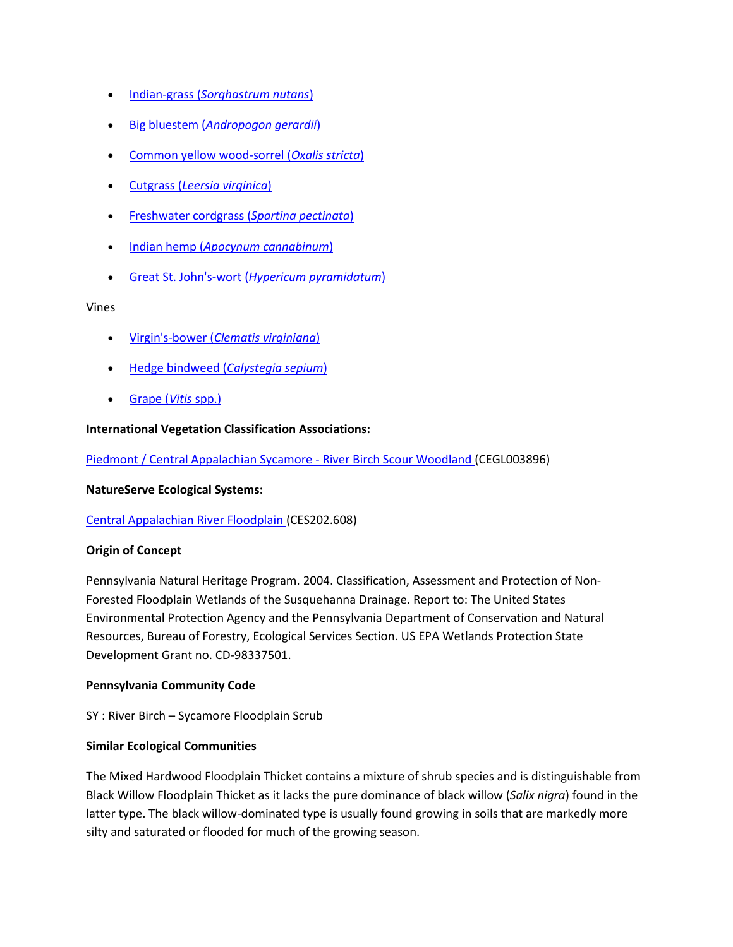- Indian-grass (*[Sorghastrum nutans](http://www.natureserve.org/explorer/servlet/NatureServe?searchName=Sorghastrum+nutans)*)
- Big bluestem (*[Andropogon gerardii](http://www.natureserve.org/explorer/servlet/NatureServe?searchName=Andropogon+gerardii)*)
- [Common yellow wood-sorrel \(](http://www.natureserve.org/explorer/servlet/NatureServe?searchName=Oxalis+stricta)*Oxalis stricta*)
- Cutgrass (*[Leersia virginica](http://www.natureserve.org/explorer/servlet/NatureServe?searchName=Leersia+virginica)*)
- [Freshwater cordgrass \(](http://www.natureserve.org/explorer/servlet/NatureServe?searchName=Spartina+pectinata)*Spartina pectinata*)
- Indian hemp (*[Apocynum cannabinum](http://www.natureserve.org/explorer/servlet/NatureServe?searchName=Apocynum+cannabinum)*)
- Great St. John's-wort (*[Hypericum pyramidatum](http://www.natureserve.org/explorer/servlet/NatureServe?searchName=Hypericum+pyramidatum)*)

#### Vines

- Virgin's-bower (*[Clematis virginiana](http://www.natureserve.org/explorer/servlet/NatureServe?searchName=Clematis+virginiana)*)
- [Hedge bindweed \(](http://www.natureserve.org/explorer/servlet/NatureServe?searchName=Calystegia+sepium)*Calystegia sepium*)
- [Grape \(](http://www.natureserve.org/explorer/servlet/NatureServe?searchSciOrCommonName=Vitis)*Vitis* spp.)

#### **International Vegetation Classification Associations:**

[Piedmont / Central Appalachian Sycamore -](http://www.natureserve.org/explorer/servlet/NatureServe?searchCommunityUid=ELEMENT_GLOBAL.2.687668) River Birch Scour Woodland (CEGL003896)

#### **NatureServe Ecological Systems:**

[Central Appalachian River Floodplain \(](http://www.natureserve.org/explorer/servlet/NatureServe?searchSystemUid=ELEMENT_GLOBAL.2.723001)CES202.608)

## **Origin of Concept**

Pennsylvania Natural Heritage Program. 2004. Classification, Assessment and Protection of Non-Forested Floodplain Wetlands of the Susquehanna Drainage. Report to: The United States Environmental Protection Agency and the Pennsylvania Department of Conservation and Natural Resources, Bureau of Forestry, Ecological Services Section. US EPA Wetlands Protection State Development Grant no. CD-98337501.

#### **Pennsylvania Community Code**

SY : River Birch – Sycamore Floodplain Scrub

## **Similar Ecological Communities**

The Mixed Hardwood Floodplain Thicket contains a mixture of shrub species and is distinguishable from Black Willow Floodplain Thicket as it lacks the pure dominance of black willow (*Salix nigra*) found in the latter type. The black willow-dominated type is usually found growing in soils that are markedly more silty and saturated or flooded for much of the growing season.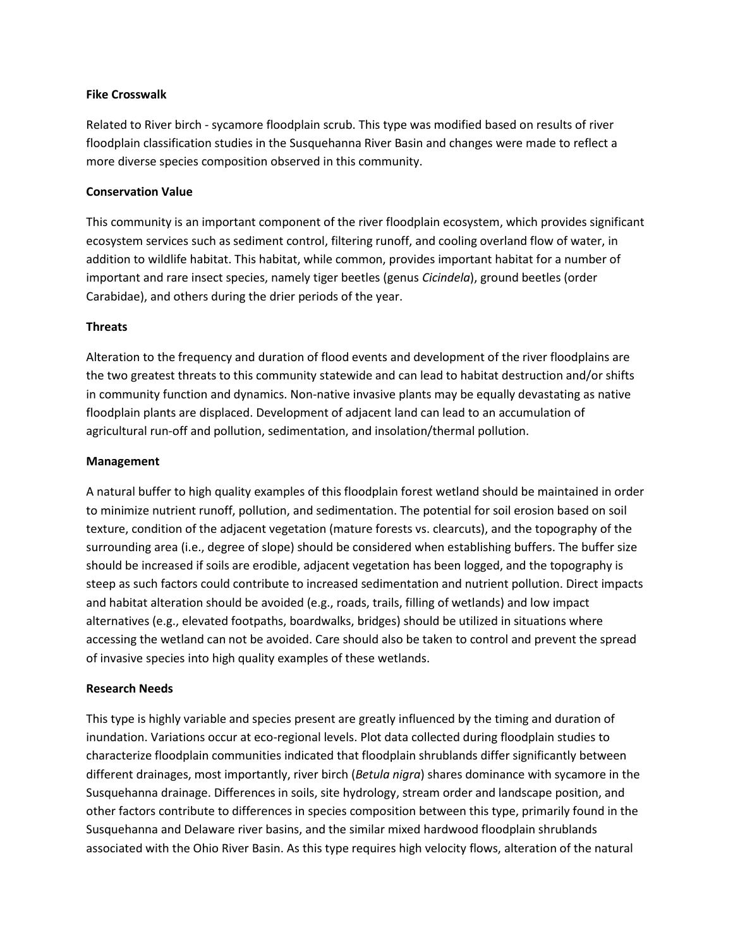### **Fike Crosswalk**

Related to River birch - sycamore floodplain scrub. This type was modified based on results of river floodplain classification studies in the Susquehanna River Basin and changes were made to reflect a more diverse species composition observed in this community.

### **Conservation Value**

This community is an important component of the river floodplain ecosystem, which provides significant ecosystem services such as sediment control, filtering runoff, and cooling overland flow of water, in addition to wildlife habitat. This habitat, while common, provides important habitat for a number of important and rare insect species, namely tiger beetles (genus *Cicindela*), ground beetles (order Carabidae), and others during the drier periods of the year.

#### **Threats**

Alteration to the frequency and duration of flood events and development of the river floodplains are the two greatest threats to this community statewide and can lead to habitat destruction and/or shifts in community function and dynamics. Non-native invasive plants may be equally devastating as native floodplain plants are displaced. Development of adjacent land can lead to an accumulation of agricultural run-off and pollution, sedimentation, and insolation/thermal pollution.

#### **Management**

A natural buffer to high quality examples of this floodplain forest wetland should be maintained in order to minimize nutrient runoff, pollution, and sedimentation. The potential for soil erosion based on soil texture, condition of the adjacent vegetation (mature forests vs. clearcuts), and the topography of the surrounding area (i.e., degree of slope) should be considered when establishing buffers. The buffer size should be increased if soils are erodible, adjacent vegetation has been logged, and the topography is steep as such factors could contribute to increased sedimentation and nutrient pollution. Direct impacts and habitat alteration should be avoided (e.g., roads, trails, filling of wetlands) and low impact alternatives (e.g., elevated footpaths, boardwalks, bridges) should be utilized in situations where accessing the wetland can not be avoided. Care should also be taken to control and prevent the spread of invasive species into high quality examples of these wetlands.

## **Research Needs**

This type is highly variable and species present are greatly influenced by the timing and duration of inundation. Variations occur at eco-regional levels. Plot data collected during floodplain studies to characterize floodplain communities indicated that floodplain shrublands differ significantly between different drainages, most importantly, river birch (*Betula nigra*) shares dominance with sycamore in the Susquehanna drainage. Differences in soils, site hydrology, stream order and landscape position, and other factors contribute to differences in species composition between this type, primarily found in the Susquehanna and Delaware river basins, and the similar mixed hardwood floodplain shrublands associated with the Ohio River Basin. As this type requires high velocity flows, alteration of the natural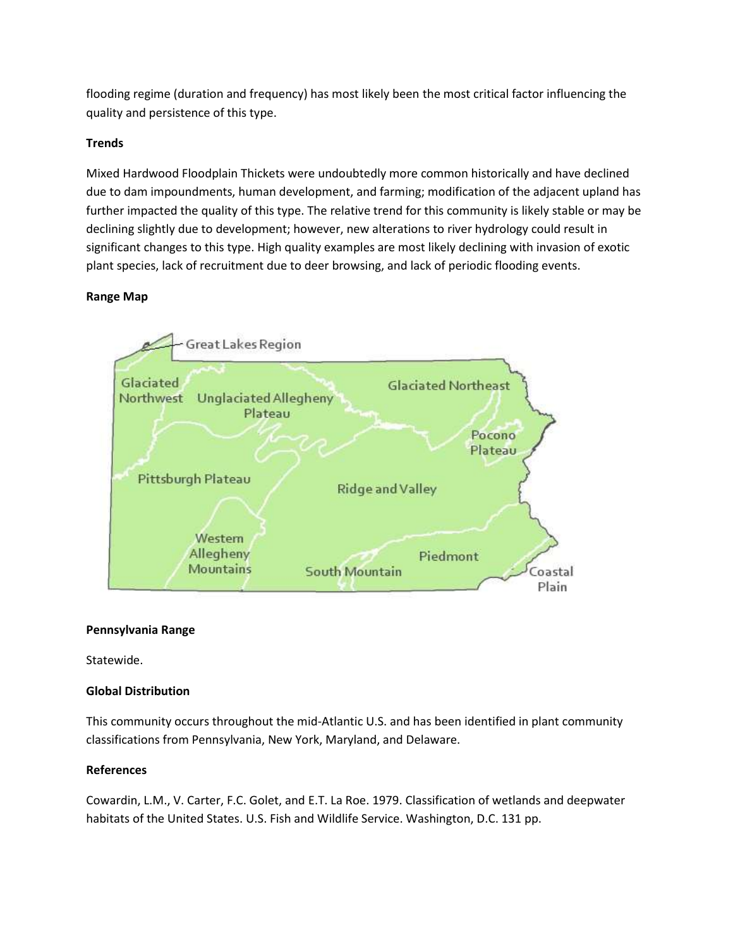flooding regime (duration and frequency) has most likely been the most critical factor influencing the quality and persistence of this type.

# **Trends**

Mixed Hardwood Floodplain Thickets were undoubtedly more common historically and have declined due to dam impoundments, human development, and farming; modification of the adjacent upland has further impacted the quality of this type. The relative trend for this community is likely stable or may be declining slightly due to development; however, new alterations to river hydrology could result in significant changes to this type. High quality examples are most likely declining with invasion of exotic plant species, lack of recruitment due to deer browsing, and lack of periodic flooding events.

# **Range Map**



## **Pennsylvania Range**

Statewide.

# **Global Distribution**

This community occurs throughout the mid-Atlantic U.S. and has been identified in plant community classifications from Pennsylvania, New York, Maryland, and Delaware.

# **References**

Cowardin, L.M., V. Carter, F.C. Golet, and E.T. La Roe. 1979. Classification of wetlands and deepwater habitats of the United States. U.S. Fish and Wildlife Service. Washington, D.C. 131 pp.